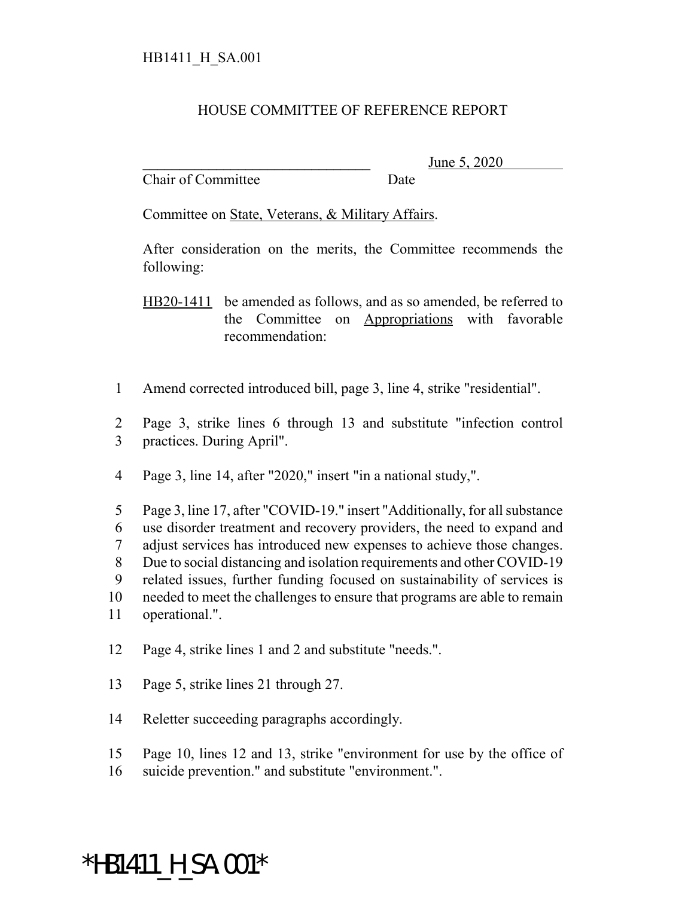## HOUSE COMMITTEE OF REFERENCE REPORT

Chair of Committee Date

June 5, 2020

Committee on State, Veterans, & Military Affairs.

After consideration on the merits, the Committee recommends the following:

HB20-1411 be amended as follows, and as so amended, be referred to the Committee on Appropriations with favorable recommendation:

- 1 Amend corrected introduced bill, page 3, line 4, strike "residential".
- 2 Page 3, strike lines 6 through 13 and substitute "infection control 3 practices. During April".
- 4 Page 3, line 14, after "2020," insert "in a national study,".
- 5 Page 3, line 17, after "COVID-19." insert "Additionally, for all substance 6 use disorder treatment and recovery providers, the need to expand and 7 adjust services has introduced new expenses to achieve those changes. 8 Due to social distancing and isolation requirements and other COVID-19 9 related issues, further funding focused on sustainability of services is 10 needed to meet the challenges to ensure that programs are able to remain 11 operational.".
- 12 Page 4, strike lines 1 and 2 and substitute "needs.".
- 13 Page 5, strike lines 21 through 27.
- 14 Reletter succeeding paragraphs accordingly.
- 15 Page 10, lines 12 and 13, strike "environment for use by the office of
- 16 suicide prevention." and substitute "environment.".

## \*HB1411 H SA.001\*